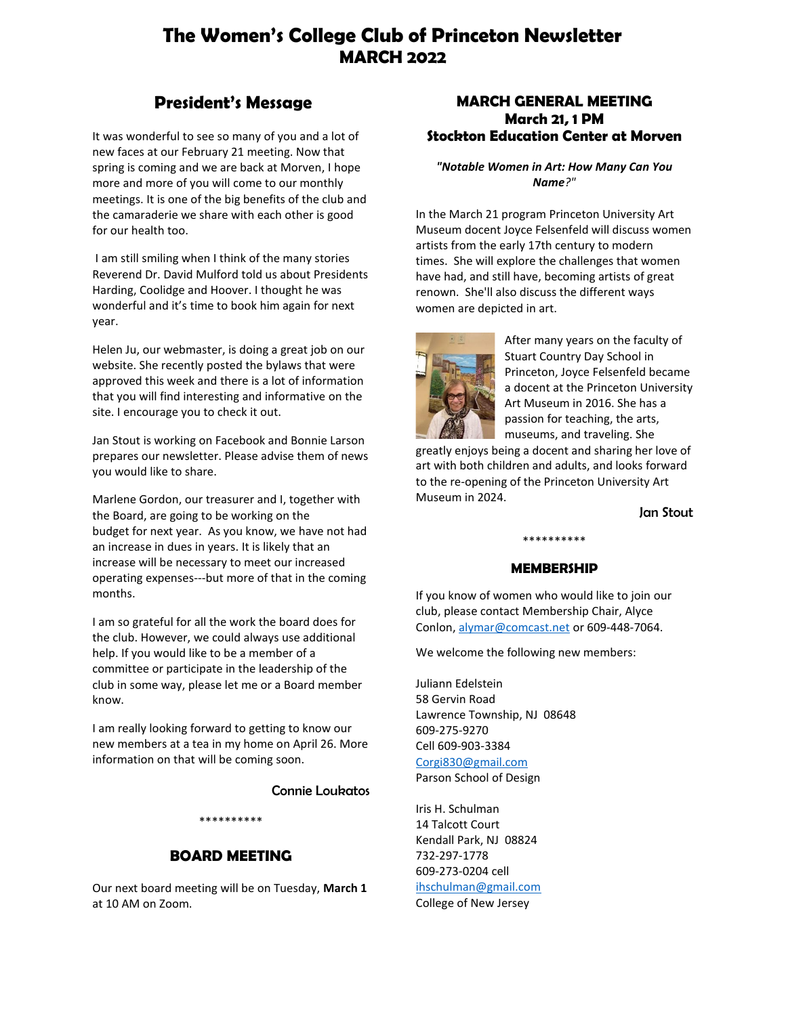## **The Women's College Club of Princeton Newsletter MARCH 2022**

### **President's Message**

It was wonderful to see so many of you and a lot of new faces at our February 21 meeting. Now that spring is coming and we are back at Morven, I hope more and more of you will come to our monthly meetings. It is one of the big benefits of the club and the camaraderie we share with each other is good for our health too.

I am still smiling when I think of the many stories Reverend Dr. David Mulford told us about Presidents Harding, Coolidge and Hoover. I thought he was wonderful and it's time to book him again for next year.

Helen Ju, our webmaster, is doing a great job on our website. She recently posted the bylaws that were approved this week and there is a lot of information that you will find interesting and informative on the site. I encourage you to check it out.

Jan Stout is working on Facebook and Bonnie Larson prepares our newsletter. Please advise them of news you would like to share.

Marlene Gordon, our treasurer and I, together with the Board, are going to be working on the budget for next year. As you know, we have not had an increase in dues in years. It is likely that an increase will be necessary to meet our increased operating expenses---but more of that in the coming months.

I am so grateful for all the work the board does for the club. However, we could always use additional help. If you would like to be a member of a committee or participate in the leadership of the club in some way, please let me or a Board member know.

I am really looking forward to getting to know our new members at a tea in my home on April 26. More information on that will be coming soon.

Connie Loukatos

#### \*\*\*\*\*\*\*\*\*\*

### **BOARD MEETING**

Our next board meeting will be on Tuesday, **March 1** at 10 AM on Zoom.

### **MARCH GENERAL MEETING March 21, 1 PM Stockton Education Center at Morven**

*"Notable Women in Art: How Many Can You Name?"*

In the March 21 program Princeton University Art Museum docent Joyce Felsenfeld will discuss women artists from the early 17th century to modern times. She will explore the challenges that women have had, and still have, becoming artists of great renown. She'll also discuss the different ways women are depicted in art.



After many years on the faculty of Stuart Country Day School in Princeton, Joyce Felsenfeld became a docent at the Princeton University Art Museum in 2016. She has a passion for teaching, the arts, museums, and traveling. She

greatly enjoys being a docent and sharing her love of art with both children and adults, and looks forward to the re-opening of the Princeton University Art Museum in 2024.

Jan Stout

### \*\*\*\*\*\*\*\*\*\* **MEMBERSHIP**

If you know of women who would like to join our club, please contact Membership Chair, Alyce Conlon[, alymar@comcast.net](mailto:alymar@comcast.net) or 609-448-7064.

We welcome the following new members:

Juliann Edelstein 58 Gervin Road Lawrence Township, NJ 08648 609-275-9270 Cell 609-903-3384 [Corgi830@gmail.com](mailto:Corgi830@gmail.com) Parson School of Design

Iris H. Schulman 14 Talcott Court Kendall Park, NJ 08824 732-297-1778 609-273-0204 cell [ihschulman@gmail.com](mailto:ihschulman@gmail.com) College of New Jersey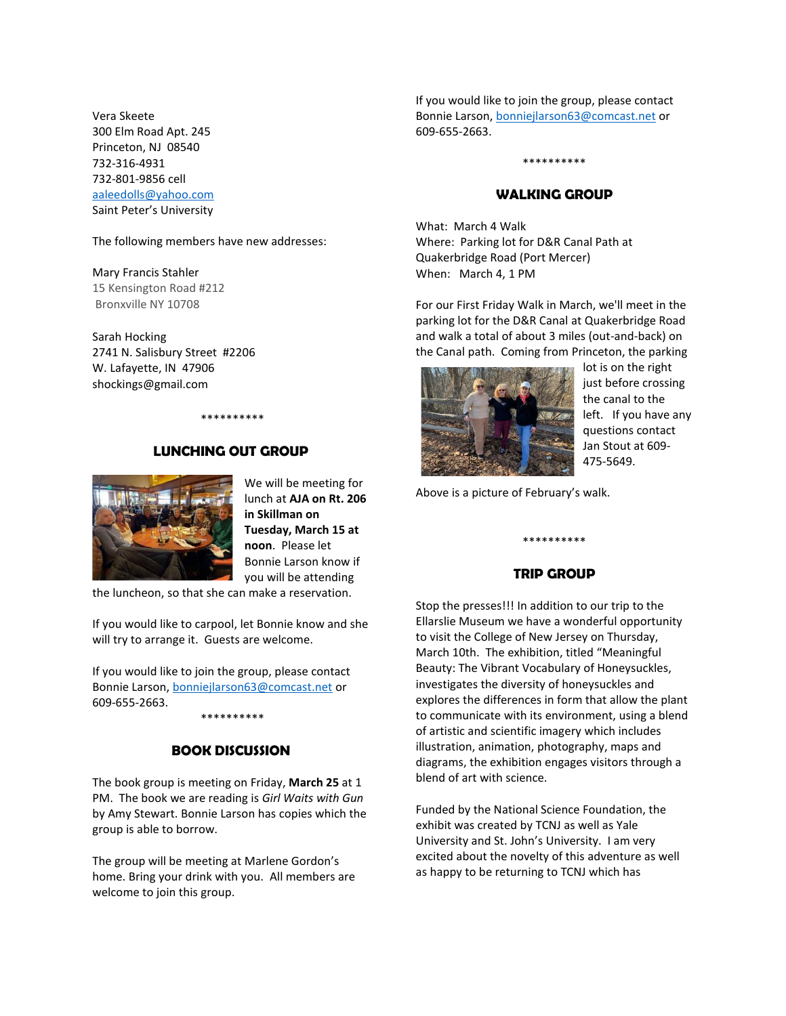Vera Skeete 300 Elm Road Apt. 245 Princeton, NJ 08540 732-316-4931 732-801-9856 cell [aaleedolls@yahoo.com](mailto:aaleedolls@yahoo.com) Saint Peter's University

The following members have new addresses:

Mary Francis Stahler 15 Kensington Road #212 Bronxville NY 10708

Sarah Hocking 2741 N. Salisbury Street #2206 W. Lafayette, IN 47906 shockings@gmail.com

# \*\*\*\*\*\*\*\*\*\*





We will be meeting for lunch at **AJA on Rt. 206 in Skillman on Tuesday, March 15 at noon**. Please let Bonnie Larson know if you will be attending

the luncheon, so that she can make a reservation.

If you would like to carpool, let Bonnie know and she will try to arrange it. Guests are welcome.

If you would like to join the group, please contact Bonnie Larson[, bonniejlarson63@comcast.net](mailto:bonniejlarson63@comcast.net) or 609-655-2663. \*\*\*\*\*\*\*\*\*\*

### **BOOK DISCUSSION**

The book group is meeting on Friday, **March 25** at 1 PM. The book we are reading is *Girl Waits with Gun* by Amy Stewart. Bonnie Larson has copies which the group is able to borrow.

The group will be meeting at Marlene Gordon's home. Bring your drink with you. All members are welcome to join this group.

If you would like to join the group, please contact Bonnie Larson[, bonniejlarson63@comcast.net](mailto:bonniejlarson63@comcast.net) or 609-655-2663.

#### \*\*\*\*\*\*\*\*\*\*

#### **WALKING GROUP**

What: March 4 Walk Where: Parking lot for D&R Canal Path at Quakerbridge Road (Port Mercer) When: March 4, 1 PM

For our First Friday Walk in March, we'll meet in the parking lot for the D&R Canal at Quakerbridge Road and walk a total of about 3 miles (out-and-back) on the Canal path. Coming from Princeton, the parking



lot is on the right just before crossing the canal to the left. If you have any questions contact Jan Stout at 609- 475-5649.

Above is a picture of February's walk.

### **TRIP GROUP**

\*\*\*\*\*\*\*\*\*\*

Stop the presses!!! In addition to our trip to the Ellarslie Museum we have a wonderful opportunity to visit the College of New Jersey on Thursday, March 10th. The exhibition, titled "Meaningful Beauty: The Vibrant Vocabulary of Honeysuckles, investigates the diversity of honeysuckles and explores the differences in form that allow the plant to communicate with its environment, using a blend of artistic and scientific imagery which includes illustration, animation, photography, maps and diagrams, the exhibition engages visitors through a blend of art with science.

Funded by the National Science Foundation, the exhibit was created by TCNJ as well as Yale University and St. John's University. I am very excited about the novelty of this adventure as well as happy to be returning to TCNJ which has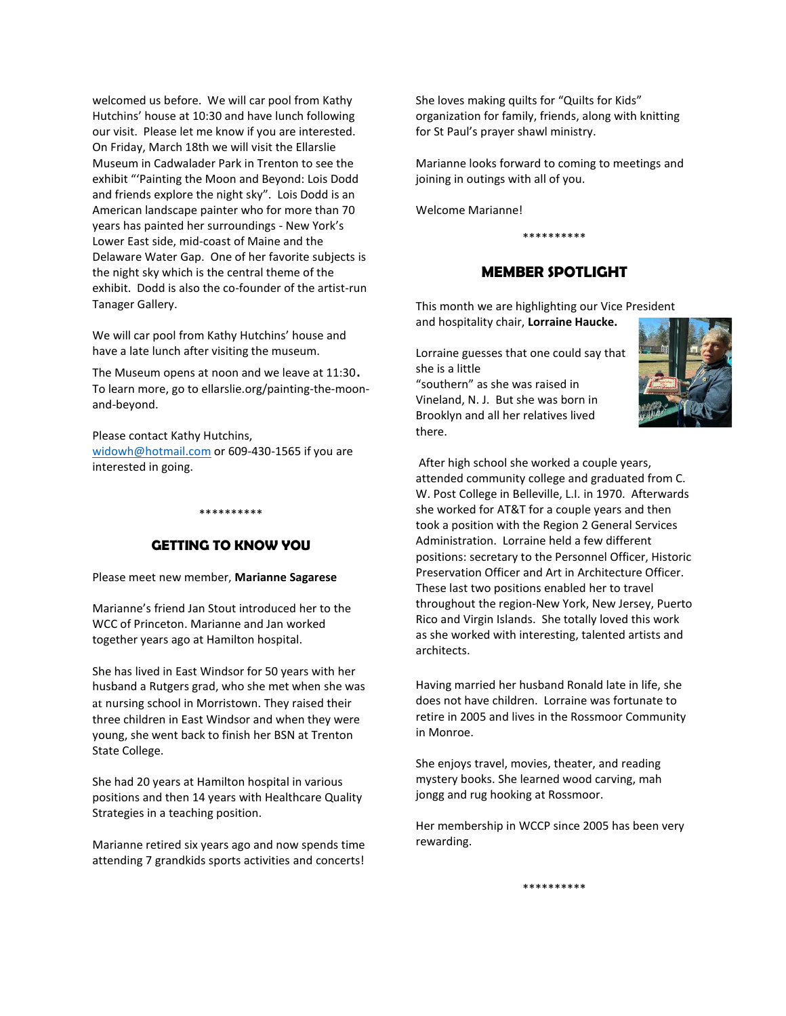welcomed us before. We will car pool from Kathy Hutchins' house at 10:30 and have lunch following our visit. Please let me know if you are interested. On Friday, March 18th we will visit the Ellarslie Museum in Cadwalader Park in Trenton to see the exhibit "'Painting the Moon and Beyond: Lois Dodd and friends explore the night sky". Lois Dodd is an American landscape painter who for more than 70 years has painted her surroundings - New York's Lower East side, mid-coast of Maine and the Delaware Water Gap. One of her favorite subjects is the night sky which is the central theme of the exhibit. Dodd is also the co-founder of the artist-run Tanager Gallery.

We will car pool from Kathy Hutchins' house and have a late lunch after visiting the museum.

The Museum opens at noon and we leave at 11:30. To learn more, go to ellarslie.org/painting-the-moonand-beyond.

Please contact Kathy Hutchins, [widowh@hotmail.com](mailto:widowh@hotmail.com) or 609-430-1565 if you are interested in going.

### **GETTING TO KNOW YOU**

\*\*\*\*\*\*\*\*\*\*

Please meet new member, **Marianne Sagarese**

Marianne's friend Jan Stout introduced her to the WCC of Princeton. Marianne and Jan worked together years ago at Hamilton hospital.

She has lived in East Windsor for 50 years with her husband a Rutgers grad, who she met when she was at nursing school in Morristown. They raised their three children in East Windsor and when they were young, she went back to finish her BSN at Trenton State College.

She had 20 years at Hamilton hospital in various positions and then 14 years with Healthcare Quality Strategies in a teaching position.

Marianne retired six years ago and now spends time attending 7 grandkids sports activities and concerts!

She loves making quilts for "Quilts for Kids" organization for family, friends, along with knitting for St Paul's prayer shawl ministry.

Marianne looks forward to coming to meetings and joining in outings with all of you.

Welcome Marianne!

#### \*\*\*\*\*\*\*\*\*\*

#### **MEMBER SPOTLIGHT**

This month we are highlighting our Vice President and hospitality chair, **Lorraine Haucke.**

Lorraine guesses that one could say that she is a little

"southern" as she was raised in Vineland, N. J. But she was born in Brooklyn and all her relatives lived there.



After high school she worked a couple years, attended community college and graduated from C. W. Post College in Belleville, L.I. in 1970. Afterwards she worked for AT&T for a couple years and then took a position with the Region 2 General Services Administration. Lorraine held a few different positions: secretary to the Personnel Officer, Historic Preservation Officer and Art in Architecture Officer. These last two positions enabled her to travel throughout the region-New York, New Jersey, Puerto Rico and Virgin Islands. She totally loved this work as she worked with interesting, talented artists and architects.

Having married her husband Ronald late in life, she does not have children. Lorraine was fortunate to retire in 2005 and lives in the Rossmoor Community in Monroe.

She enjoys travel, movies, theater, and reading mystery books. She learned wood carving, mah jongg and rug hooking at Rossmoor.

Her membership in WCCP since 2005 has been very rewarding.

\*\*\*\*\*\*\*\*\*\*